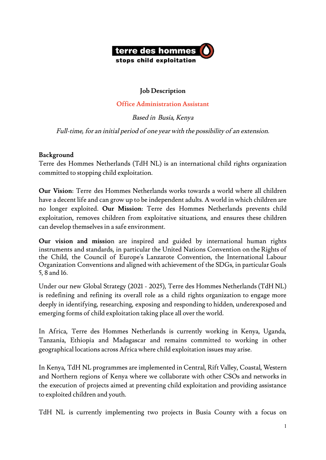

### **Job Description**

#### **Office Administration Assistant**

Based in Busia, Kenya

Full-time, for an initial period of one year with the possibility of an extension.

#### **Background**

Terre des Hommes Netherlands (TdH NL) is an international child rights organization committed to stopping child exploitation.

**Our Vision**: Terre des Hommes Netherlands works towards a world where all children have a decent life and can grow up to be independent adults. A world in which children are no longer exploited. **Our Mission**: Terre des Hommes Netherlands prevents child exploitation, removes children from exploitative situations, and ensures these children can develop themselves in a safe environment.

**Our vision and missio**n are inspired and guided by international human rights instruments and standards, in particular the United Nations Convention on the Rights of the Child, the Council of Europe's Lanzarote Convention, the International Labour Organization Conventions and aligned with achievement of the SDGs, in particular Goals 5, 8 and 16.

Under our new Global Strategy (2021 - 2025), Terre des Hommes Netherlands (TdH NL) is redefining and refining its overall role as a child rights organization to engage more deeply in identifying, researching, exposing and responding to hidden, underexposed and emerging forms of child exploitation taking place all over the world.

In Africa, Terre des Hommes Netherlands is currently working in Kenya, Uganda, Tanzania, Ethiopia and Madagascar and remains committed to working in other geographical locations across Africa where child exploitation issues may arise.

In Kenya, TdH NL programmes are implemented in Central, Rift Valley, Coastal, Western and Northern regions of Kenya where we collaborate with other CSOs and networks in the execution of projects aimed at preventing child exploitation and providing assistance to exploited children and youth.

TdH NL is currently implementing two projects in Busia County with a focus on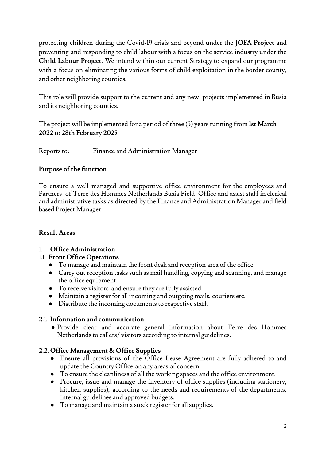protecting children during the Covid-19 crisis and beyond under the **JOFA Project** and preventing and responding to child labour with a focus on the service industry under the **Child Labour Project**. We intend within our current Strategy to expand our programme with a focus on eliminating the various forms of child exploitation in the border county, and other neighboring counties.

This role will provide support to the current and any new projects implemented in Busia and its neighboring counties.

The project will be implemented for a period of three (3) years running from 1st March **2022** to **28th February 2025**.

Reports to: Finance and Administration Manager

### **Purpose of the function**

To ensure a well managed and supportive office environment for the employees and Partners of Terre des Hommes Netherlands Busia Field Office and assist staffin clerical and administrative tasks as directed by the Finance and Administration Manager and field based Project Manager.

### **Result Areas**

## 1. **Office Administration**

#### 1.1 **Front Office Operations**

- To manage and maintain the front desk and reception area of the office.
- Carry out reception tasks such as mail handling, copying and scanning, and manage the office equipment.
- To receive visitors and ensure they are fully assisted.
- Maintain a register for all incoming and outgoing mails, couriers etc.
- Distribute the incoming documents to respective staff.

#### **2.1. Information and communication**

● Provide clear and accurate general information about Terre des Hommes Netherlands to callers/ visitors according to internal guidelines.

#### **2.2. Office Management & Office Supplies**

- Ensure all provisions of the Office Lease Agreement are fully adhered to and update the Country Office on any areas of concern.
- To ensure the cleanliness of all the working spaces and the office environment.
- Procure, issue and manage the inventory of office supplies (including stationery, kitchen supplies), according to the needs and requirements of the departments, internal guidelines and approved budgets.
- To manage and maintain a stock register for all supplies.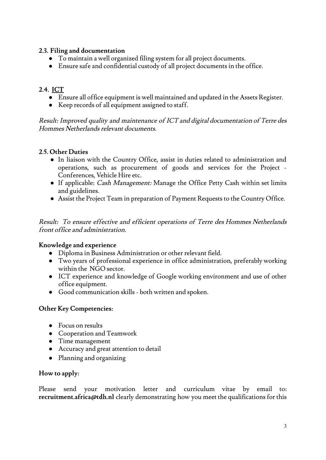#### **2.3. Filing and documentation**

- To maintain a well organized filing system for all project documents.
- Ensure safe and confidential custody of all project documents in the office.

# **2.4. ICT**

- Ensure all office equipment is well maintained and updated in the Assets Register.
- Keep records of all equipment assigned to staff.

Result: Improved quality and maintenance of ICT and digital documentation of Terre des Hommes Netherlands relevant documents.

## **2.5. Other Duties**

- In liaison with the Country Office, assist in duties related to administration and operations, such as procurement of goods and services for the Project - Conferences, Vehicle Hire etc.
- If applicable: Cash Management: Manage the Office Petty Cash within set limits and guidelines.
- Assist the Project Team in preparation of Payment Requests to the Country Office.

Result: To ensure effective and efficient operations of Terre des Hommes Netherlands front office and administration.

## **Knowledge and experience**

- Diploma in Business Administration or other relevant field.
- Two years of professional experience in office administration, preferably working within the NGO sector.
- ICT experience and knowledge of Google working environment and use of other office equipment.
- Good communication skills both written and spoken.

#### **Other Key Competencies:**

- Focus on results
- Cooperation and Teamwork
- Time management
- Accuracy and great attention to detail
- Planning and organizing

## **How to apply:**

Please send your motivation letter and curriculum vitae by email to: **recruitment.africa@tdh.nl** clearly demonstrating how you meet the qualifications for this